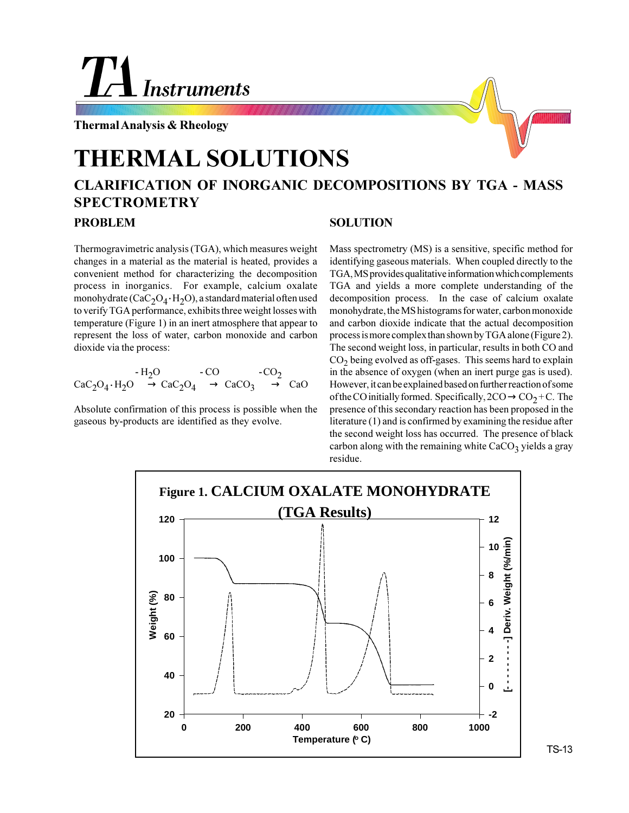# **Instruments**

**Thermal Analysis & Rheology**

## **THERMAL SOLUTIONS**

### **CLARIFICATION OF INORGANIC DECOMPOSITIONS BY TGA - MASS SPECTROMETRY**

#### **PROBLEM**

Thermogravimetric analysis (TGA), which measures weight changes in a material as the material is heated, provides a convenient method for characterizing the decomposition process in inorganics. For example, calcium oxalate monohydrate (CaC<sub>2</sub>O<sub>4</sub> · H<sub>2</sub>O), a standard material often used to verify TGA performance, exhibits three weight losses with temperature (Figure 1) in an inert atmosphere that appear to represent the loss of water, carbon monoxide and carbon dioxide via the process:

$$
\begin{array}{ccc}\n\cdot H_2O & \cdot CO & \cdot CO_2 \\
\text{CaC}_2O_4 \cdot H_2O & \longrightarrow \text{CaC}_2O_4 \longrightarrow \text{CaCO}_3 \longrightarrow \text{CaO}\n\end{array}
$$

Absolute confirmation of this process is possible when the gaseous by-products are identified as they evolve.

#### **SOLUTION**

Mass spectrometry (MS) is a sensitive, specific method for identifying gaseous materials. When coupled directly to the TGA, MS provides qualitative information which complements TGA and yields a more complete understanding of the decomposition process. In the case of calcium oxalate monohydrate, the MS histograms for water, carbon monoxide and carbon dioxide indicate that the actual decomposition process is more complex than shown by TGA alone (Figure 2). The second weight loss, in particular, results in both CO and  $CO<sub>2</sub>$  being evolved as off-gases. This seems hard to explain in the absence of oxygen (when an inert purge gas is used). However, it can be explained based on further reaction of some of the CO initially formed. Specifically,  $2CO \rightarrow CO_2 + C$ . The presence of this secondary reaction has been proposed in the literature (1) and is confirmed by examining the residue after the second weight loss has occurred. The presence of black carbon along with the remaining white  $CaCO<sub>3</sub>$  yields a gray residue.